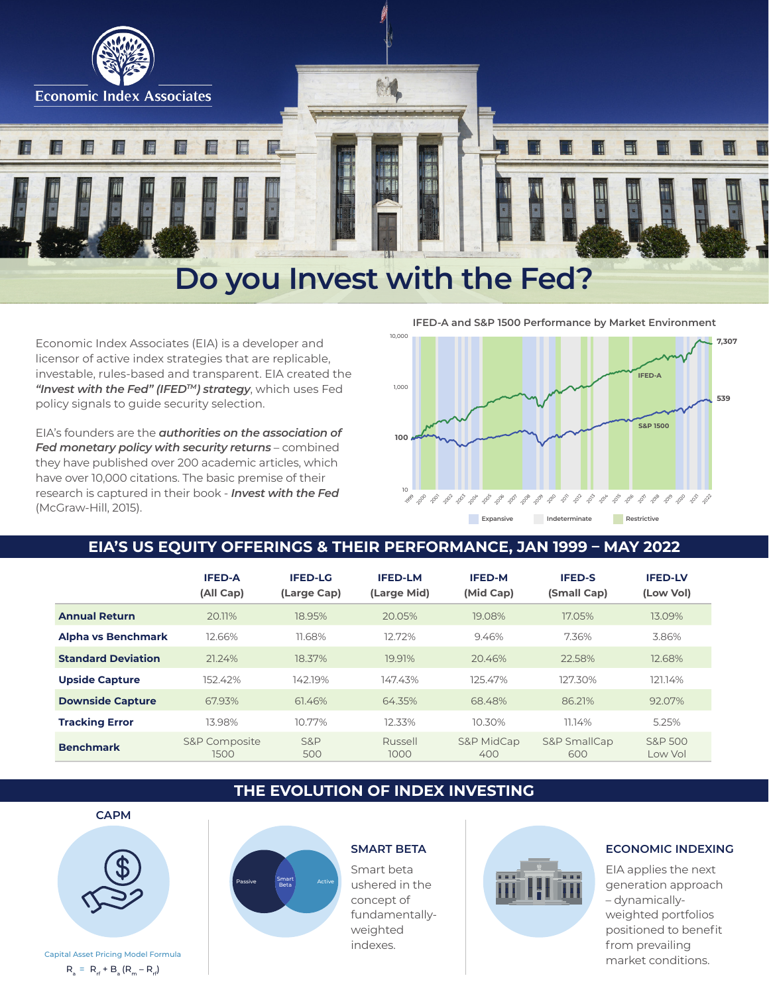

# **Do you Invest with the Fed?**

Economic Index Associates (EIA) is a developer and licensor of active index strategies that are replicable, investable, rules-based and transparent. EIA created the *"Invest with the Fed" (IFEDTM) strategy*, which uses Fed policy signals to guide security selection.

EIA's founders are the *authorities on the association of Fed monetary policy with security returns* – combined they have published over 200 academic articles, which have over 10,000 citations. The basic premise of their research is captured in their book - *Invest with the Fed*  (McGraw-Hill, 2015).



**Expansive Indeterminate Restrictive** 

# **EIA'S US EQUITY OFFERINGS & THEIR PERFORMANCE, JAN 1999 – MAY 2022**

|                           | <b>IFED-A</b><br>(All Cap) | <b>IFED-LG</b><br>(Large Cap) | <b>IFED-LM</b><br>(Large Mid) | <b>IFED-M</b><br>(Mid Cap) | <b>IFED-S</b><br>(Small Cap) | <b>IFED-LV</b><br>(Low Vol) |
|---------------------------|----------------------------|-------------------------------|-------------------------------|----------------------------|------------------------------|-----------------------------|
| <b>Annual Return</b>      | 20.11%                     | 18.95%                        | 20.05%                        | 19.08%                     | 17.05%                       | 13.09%                      |
| <b>Alpha vs Benchmark</b> | 12.66%                     | 11.68%                        | 12.72%                        | 9.46%                      | 7.36%                        | 3.86%                       |
| <b>Standard Deviation</b> | 21.24%                     | 18.37%                        | 19.91%                        | 20.46%                     | 22.58%                       | 12.68%                      |
| <b>Upside Capture</b>     | 152.42%                    | 142.19%                       | 147.43%                       | 125.47%                    | 127.30%                      | 121.14%                     |
| <b>Downside Capture</b>   | 67.93%                     | 61.46%                        | 64.35%                        | 68.48%                     | 86.21%                       | 92.07%                      |
| <b>Tracking Error</b>     | 13.98%                     | 10.77%                        | 12.33%                        | 10.30%                     | 11.14%                       | 5.25%                       |
| <b>Benchmark</b>          | S&P Composite<br>1500      | S&P<br>500                    | Russell<br>1000               | S&P MidCap<br>400          | S&P SmallCap<br>600          | S&P 500<br>Low Vol          |

# **THE EVOLUTION OF INDEX INVESTING**



 $R_a = R_f + B_a (R_m - R_f)$ 



Smart beta ushered in the concept of fundamentallyweighted indexes.



#### **SMART BETA ECONOMIC INDEXING**

EIA applies the next generation approach – dynamicallyweighted portfolios positioned to benefit from prevailing market conditions.